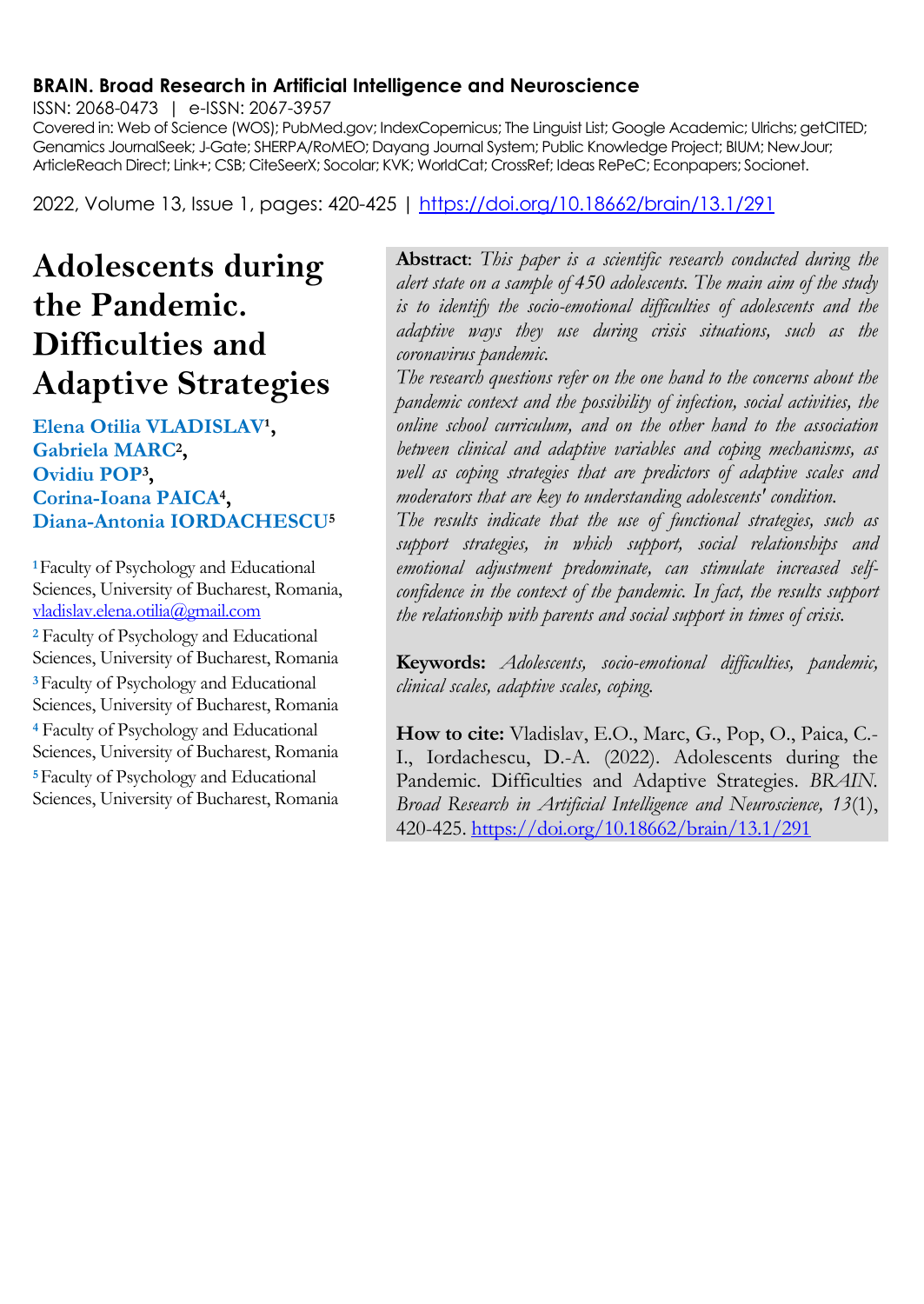#### **BRAIN. Broad Research in Artificial Intelligence and Neuroscience**

ISSN: 2068-0473 | e-ISSN: 2067-3957

Covered in: Web of Science (WOS); PubMed.gov; IndexCopernicus; The Linguist List; Google Academic; Ulrichs; getCITED; Genamics JournalSeek; J-Gate; SHERPA/RoMEO; Dayang Journal System; Public Knowledge Project; BIUM; NewJour; ArticleReach Direct; Link+; CSB; CiteSeerX; Socolar; KVK; WorldCat; CrossRef; Ideas RePeC; Econpapers; Socionet.

2022, Volume 13, Issue 1, pages: 420-425 |<https://doi.org/10.18662/brain/13.1/291>

# **Adolescents during the Pandemic. Difficulties and Adaptive Strategies**

#### Elena Otilia VLADISLAV<sup>1</sup>, **Gabriela MARC<sup>2</sup> , Ovidiu POP<sup>3</sup> , Corina-Ioana PAICA<sup>4</sup> , Diana-Antonia IORDACHESCU<sup>5</sup>**

**<sup>1</sup>**Faculty of Psychology and Educational Sciences, University of Bucharest, Romania, [vladislav.elena.otilia@gmail.com](mailto:vladislav.elena.otilia@gmail.com)

**<sup>2</sup>** Faculty of Psychology and Educational Sciences, University of Bucharest, Romania **<sup>3</sup>**Faculty of Psychology and Educational Sciences, University of Bucharest, Romania **<sup>4</sup>** Faculty of Psychology and Educational Sciences, University of Bucharest, Romania **<sup>5</sup>**Faculty of Psychology and Educational Sciences, University of Bucharest, Romania **Abstract**: *This paper is a scientific research conducted during the alert state on a sample of 450 adolescents. The main aim of the study is to identify the socio-emotional difficulties of adolescents and the adaptive ways they use during crisis situations, such as the coronavirus pandemic.*

*The research questions refer on the one hand to the concerns about the pandemic context and the possibility of infection, social activities, the online school curriculum, and on the other hand to the association between clinical and adaptive variables and coping mechanisms, as well as coping strategies that are predictors of adaptive scales and moderators that are key to understanding adolescents' condition.*

*The results indicate that the use of functional strategies, such as support strategies, in which support, social relationships and emotional adjustment predominate, can stimulate increased selfconfidence in the context of the pandemic. In fact, the results support the relationship with parents and social support in times of crisis.*

**Keywords:** *Adolescents, socio-emotional difficulties, pandemic, clinical scales, adaptive scales, coping.*

**How to cite:** Vladislav, E.O., Marc, G., Pop, O., Paica, C.- I., Iordachescu, D.-A. (2022). Adolescents during the Pandemic. Difficulties and Adaptive Strategies. *BRAIN. Broad Research in Artificial Intelligence and Neuroscience, 13*(1), 420-425.<https://doi.org/10.18662/brain/13.1/291>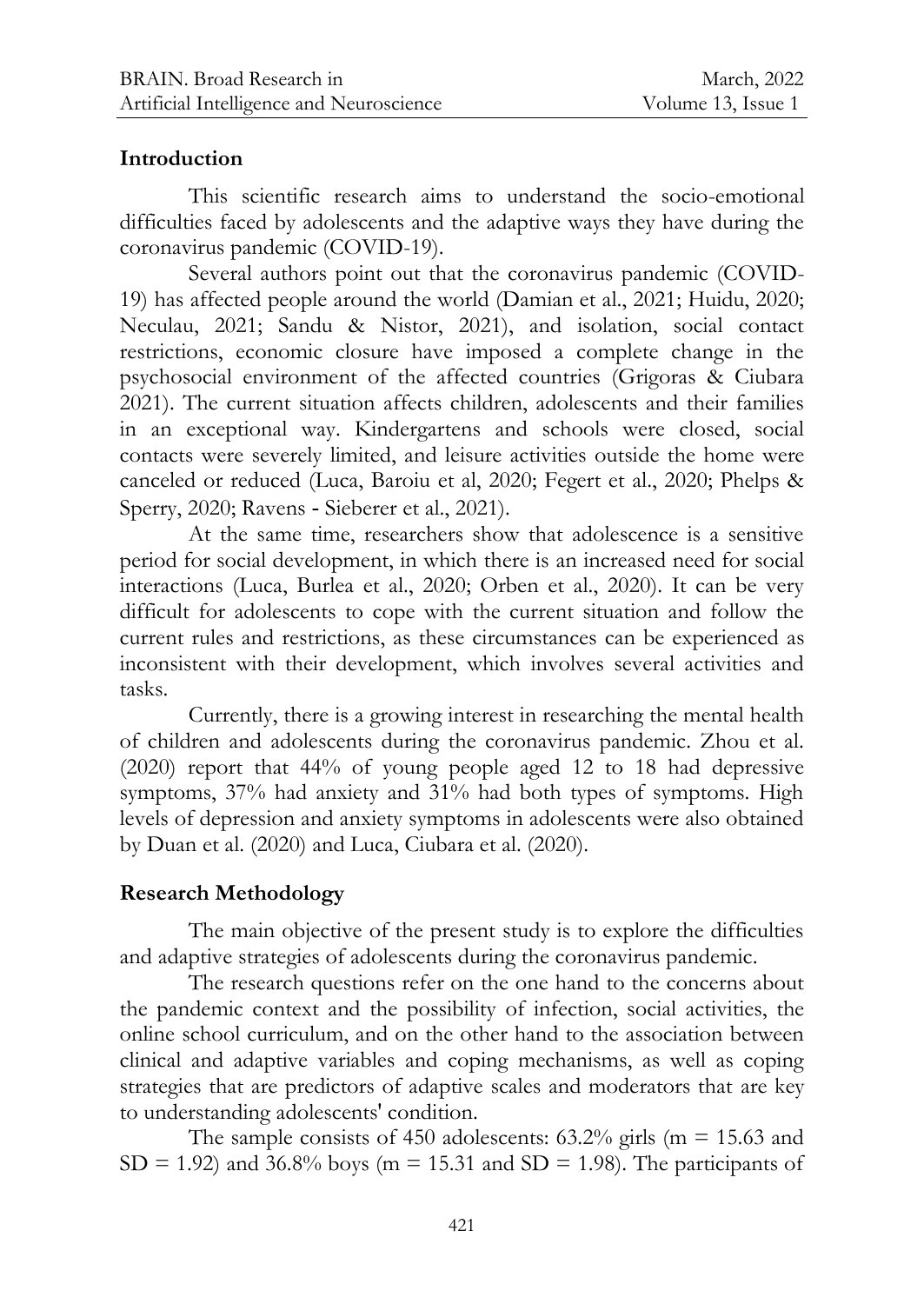## **Introduction**

This scientific research aims to understand the socio-emotional difficulties faced by adolescents and the adaptive ways they have during the coronavirus pandemic (COVID-19).

Several authors point out that the coronavirus pandemic (COVID-19) has affected people around the world (Damian et al., 2021; Huidu, 2020; Neculau, 2021; Sandu & Nistor, 2021), and isolation, social contact restrictions, economic closure have imposed a complete change in the psychosocial environment of the affected countries (Grigoras & Ciubara 2021). The current situation affects children, adolescents and their families in an exceptional way. Kindergartens and schools were closed, social contacts were severely limited, and leisure activities outside the home were canceled or reduced (Luca, Baroiu et al, 2020; Fegert et al., 2020; Phelps & Sperry, 2020; Ravens - Sieberer et al., 2021).

At the same time, researchers show that adolescence is a sensitive period for social development, in which there is an increased need for social interactions (Luca, Burlea et al., 2020; Orben et al., 2020). It can be very difficult for adolescents to cope with the current situation and follow the current rules and restrictions, as these circumstances can be experienced as inconsistent with their development, which involves several activities and tasks.

Currently, there is a growing interest in researching the mental health of children and adolescents during the coronavirus pandemic. Zhou et al. (2020) report that 44% of young people aged 12 to 18 had depressive symptoms, 37% had anxiety and 31% had both types of symptoms. High levels of depression and anxiety symptoms in adolescents were also obtained by Duan et al. (2020) and Luca, Ciubara et al. (2020).

# **Research Methodology**

The main objective of the present study is to explore the difficulties and adaptive strategies of adolescents during the coronavirus pandemic.

The research questions refer on the one hand to the concerns about the pandemic context and the possibility of infection, social activities, the online school curriculum, and on the other hand to the association between clinical and adaptive variables and coping mechanisms, as well as coping strategies that are predictors of adaptive scales and moderators that are key to understanding adolescents' condition.

The sample consists of 450 adolescents:  $63.2\%$  girls (m = 15.63 and  $SD = 1.92$ ) and 36.8% boys (m = 15.31 and SD = 1.98). The participants of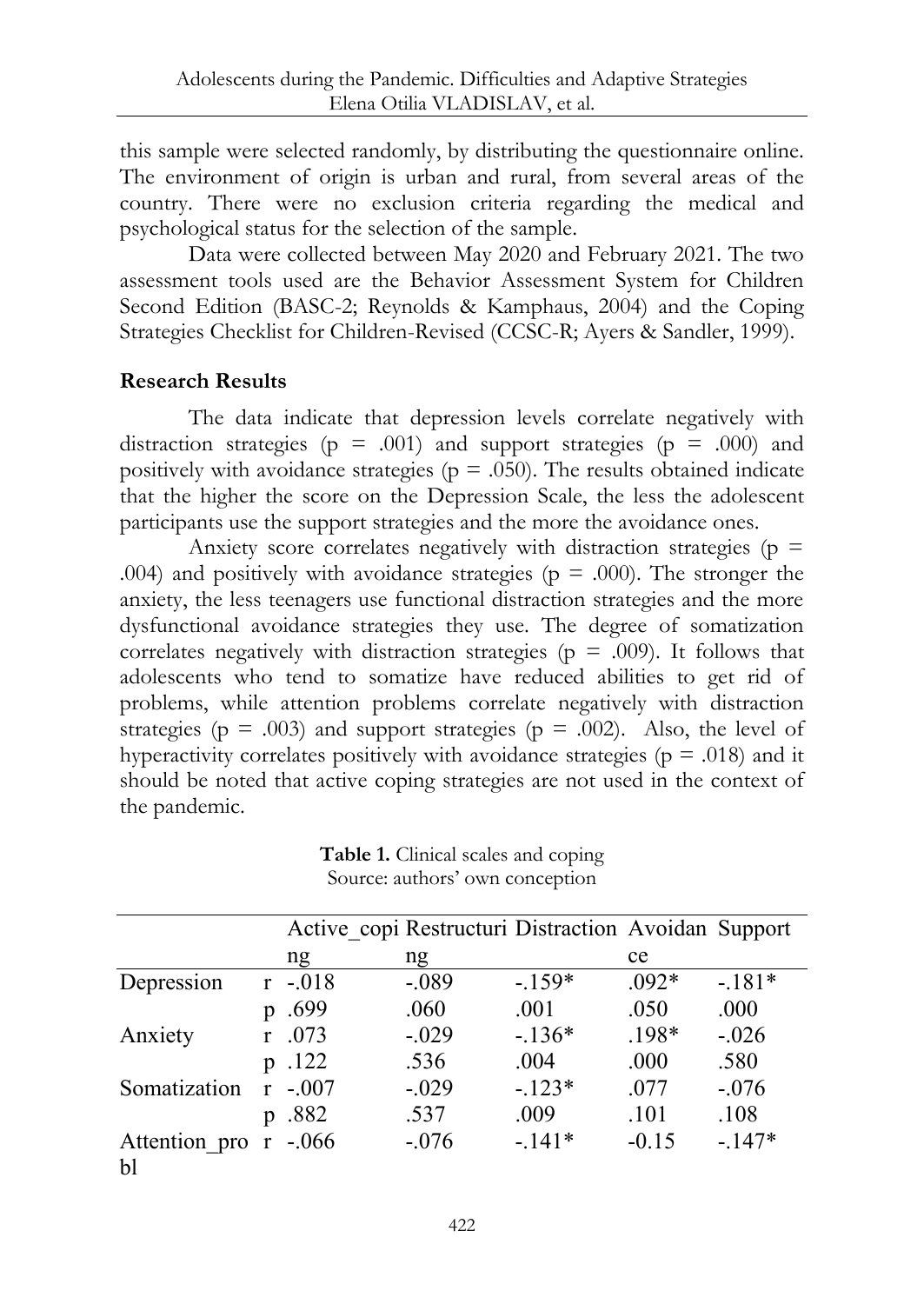this sample were selected randomly, by distributing the questionnaire online. The environment of origin is urban and rural, from several areas of the country. There were no exclusion criteria regarding the medical and psychological status for the selection of the sample.

Data were collected between May 2020 and February 2021. The two assessment tools used are the Behavior Assessment System for Children Second Edition (BASC-2; Reynolds & Kamphaus, 2004) and the Coping Strategies Checklist for Children-Revised (CCSC-R; Ayers & Sandler, 1999).

# **Research Results**

The data indicate that depression levels correlate negatively with distraction strategies ( $p = .001$ ) and support strategies ( $p = .000$ ) and positively with avoidance strategies ( $p = .050$ ). The results obtained indicate that the higher the score on the Depression Scale, the less the adolescent participants use the support strategies and the more the avoidance ones.

Anxiety score correlates negatively with distraction strategies ( $p =$ .004) and positively with avoidance strategies ( $p = .000$ ). The stronger the anxiety, the less teenagers use functional distraction strategies and the more dysfunctional avoidance strategies they use. The degree of somatization correlates negatively with distraction strategies ( $p = .009$ ). It follows that adolescents who tend to somatize have reduced abilities to get rid of problems, while attention problems correlate negatively with distraction strategies ( $p = .003$ ) and support strategies ( $p = .002$ ). Also, the level of hyperactivity correlates positively with avoidance strategies ( $p = .018$ ) and it should be noted that active coping strategies are not used in the context of the pandemic.

**Table 1.** Clinical scales and coping Source: authors' own conception

|                                 |                | Active copi Restructuri Distraction Avoidan Support |         |          |         |          |
|---------------------------------|----------------|-----------------------------------------------------|---------|----------|---------|----------|
|                                 |                | ng                                                  | ng      |          | ce      |          |
| Depression                      |                | $r - 018$                                           | $-.089$ | $-.159*$ | $.092*$ | $-.181*$ |
|                                 | v              | .699                                                | .060    | .001     | .050    | .000     |
| Anxiety                         |                | .073                                                | $-.029$ | $-.136*$ | $.198*$ | $-.026$  |
|                                 |                | p .122                                              | .536    | .004     | .000    | .580     |
| Somatization                    |                | $-.007$                                             | $-.029$ | $-.123*$ | .077    | $-.076$  |
|                                 | $\mathfrak{v}$ | .882                                                | .537    | .009     | .101    | .108     |
| Attention pro $r - 0.066$<br>bl |                |                                                     | $-.076$ | $-.141*$ | $-0.15$ | $-.147*$ |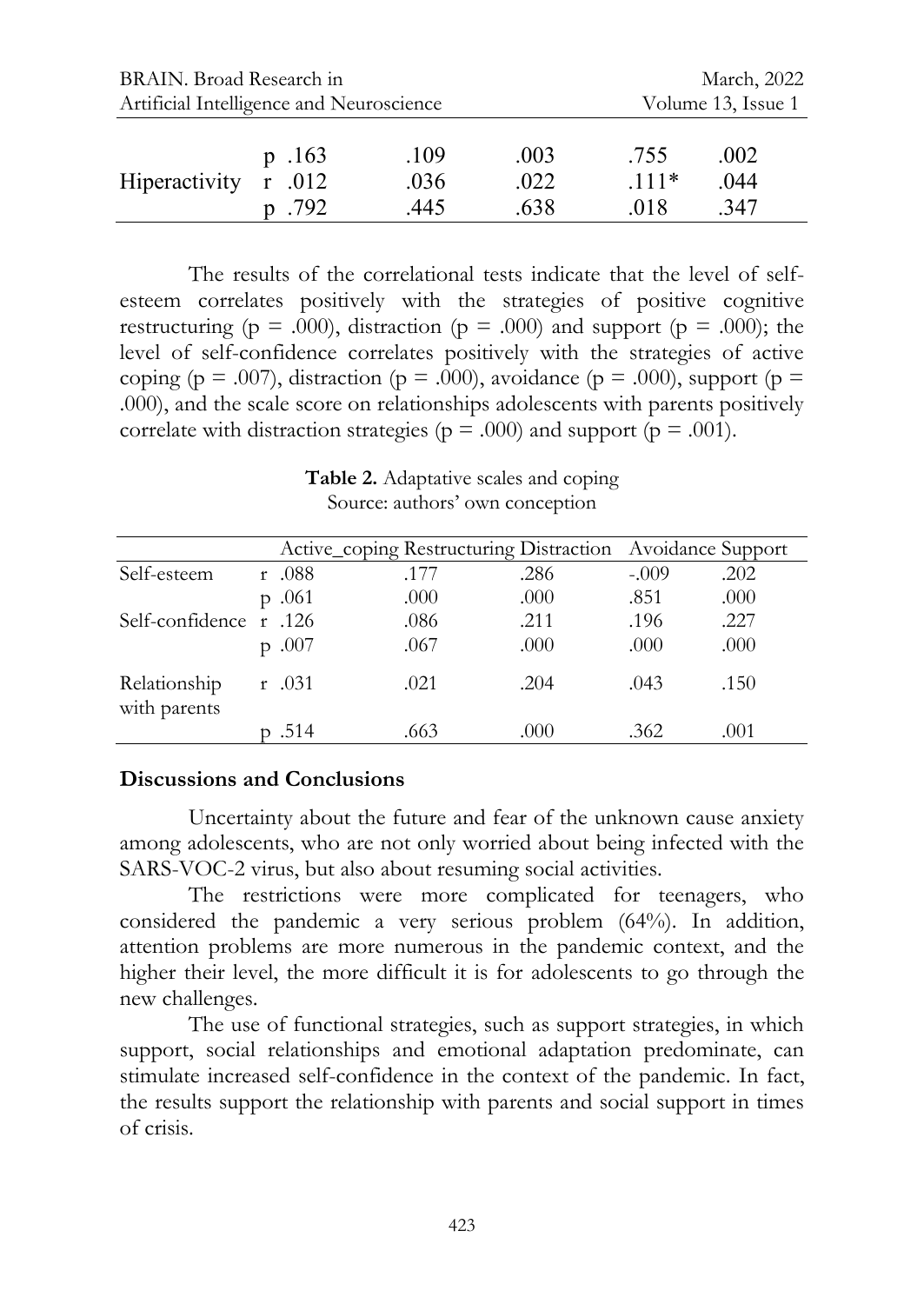| BRAIN. Broad Research in                 | March, 2022                |                      |                      |                        |                      |  |
|------------------------------------------|----------------------------|----------------------|----------------------|------------------------|----------------------|--|
| Artificial Intelligence and Neuroscience | Volume 13, Issue 1         |                      |                      |                        |                      |  |
| Hiperactivity                            | p.163<br>r .012<br>p. .792 | .109<br>.036<br>.445 | .003<br>.022<br>.638 | .755<br>$111*$<br>.018 | .002<br>.044<br>.347 |  |

The results of the correlational tests indicate that the level of selfesteem correlates positively with the strategies of positive cognitive restructuring ( $p = .000$ ), distraction ( $p = .000$ ) and support ( $p = .000$ ); the level of self-confidence correlates positively with the strategies of active coping (p = .007), distraction (p = .000), avoidance (p = .000), support (p = .000), and the scale score on relationships adolescents with parents positively correlate with distraction strategies ( $p = .000$ ) and support ( $p = .001$ ).

Active coping Restructuring Distraction Avoidance Support Self-esteem r .088 .177 .286 -.009 .202 p .061 .000 .000 .851 .000 Self-confidence r .126 .086 .211 .196 .227 p .007 .000 .000 .000 .000 Relationship with parents r .031 .021 .043 .150 p .514 .663 .000 .362 .001

**Table 2.** Adaptative scales and coping Source: authors' own conception

#### **Discussions and Conclusions**

Uncertainty about the future and fear of the unknown cause anxiety among adolescents, who are not only worried about being infected with the SARS-VOC-2 virus, but also about resuming social activities.

The restrictions were more complicated for teenagers, who considered the pandemic a very serious problem (64%). In addition, attention problems are more numerous in the pandemic context, and the higher their level, the more difficult it is for adolescents to go through the new challenges.

The use of functional strategies, such as support strategies, in which support, social relationships and emotional adaptation predominate, can stimulate increased self-confidence in the context of the pandemic. In fact, the results support the relationship with parents and social support in times of crisis.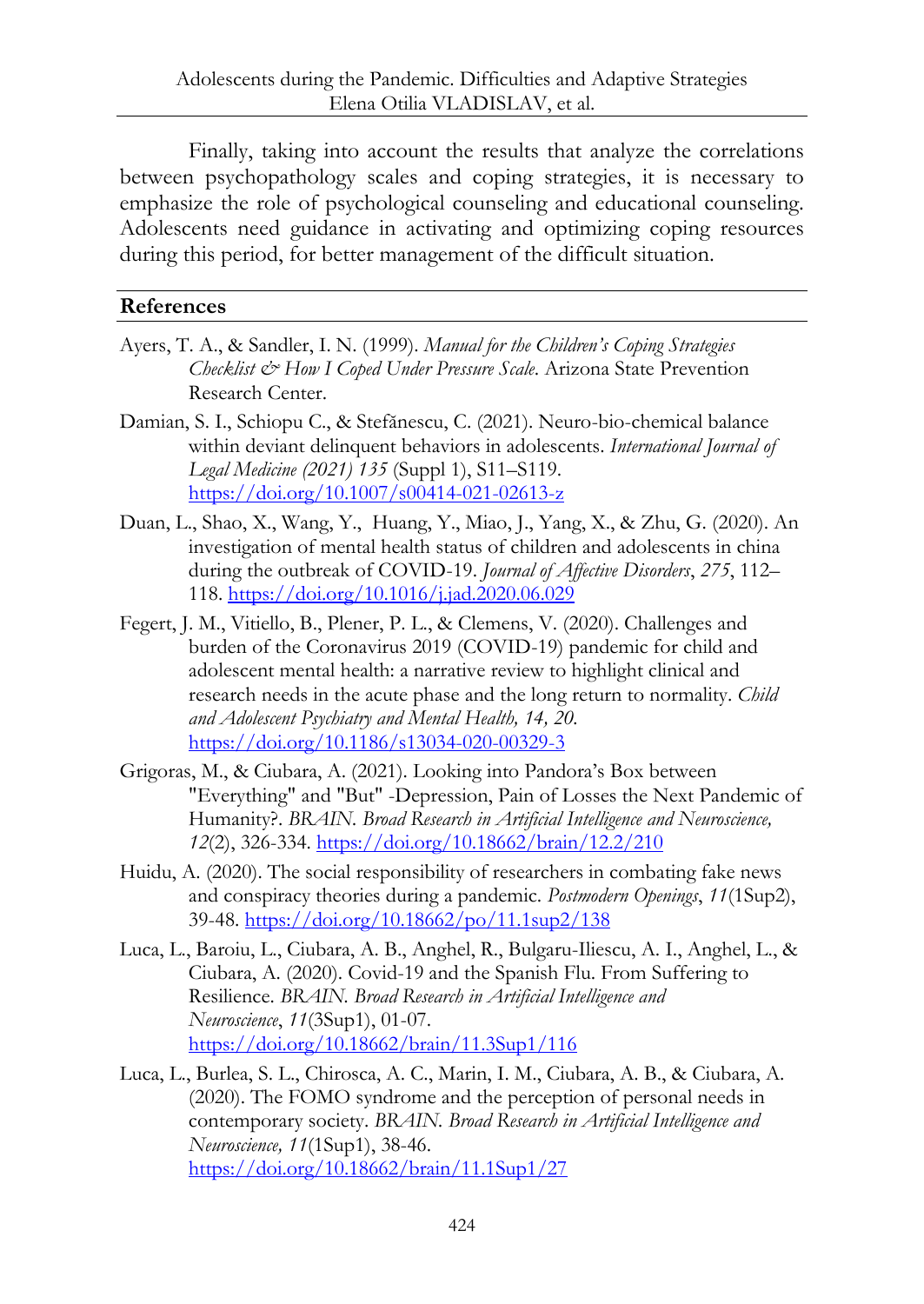Finally, taking into account the results that analyze the correlations between psychopathology scales and coping strategies, it is necessary to emphasize the role of psychological counseling and educational counseling. Adolescents need guidance in activating and optimizing coping resources during this period, for better management of the difficult situation.

## **References**

- Ayers, T. A., & Sandler, I. N. (1999). *Manual for the Children's Coping Strategies Checklist & How I Coped Under Pressure Scale*. Arizona State Prevention Research Center.
- Damian, S. I., Schiopu C., & Stefănescu, C. (2021). Neuro-bio-chemical balance within deviant delinquent behaviors in adolescents. *International Journal of Legal Medicine (2021) 135* (Suppl 1), S11–S119. <https://doi.org/10.1007/s00414-021-02613-z>
- Duan, L., Shao, X., Wang, Y., Huang, Y., Miao, J., Yang, X., & Zhu, G. (2020). An investigation of mental health status of children and adolescents in china during the outbreak of COVID-19. *Journal of Affective Disorders*, *275*, 112– 118.<https://doi.org/10.1016/j.jad.2020.06.029>
- Fegert, J. M., Vitiello, B., Plener, P. L., & Clemens, V. (2020). Challenges and burden of the Coronavirus 2019 (COVID-19) pandemic for child and adolescent mental health: a narrative review to highlight clinical and research needs in the acute phase and the long return to normality. *Child and Adolescent Psychiatry and Mental Health, 14, 20.* <https://doi.org/10.1186/s13034-020-00329-3>
- Grigoras, M., & Ciubara, A. (2021). Looking into Pandora's Box between "Everything" and "But" -Depression, Pain of Losses the Next Pandemic of Humanity?. *BRAIN. Broad Research in Artificial Intelligence and Neuroscience, 12*(2), 326-334.<https://doi.org/10.18662/brain/12.2/210>
- Huidu, A. (2020). The social responsibility of researchers in combating fake news and conspiracy theories during a pandemic. *Postmodern Openings*, *11*(1Sup2), 39-48.<https://doi.org/10.18662/po/11.1sup2/138>
- Luca, L., Baroiu, L., Ciubara, A. B., Anghel, R., Bulgaru-Iliescu, A. I., Anghel, L., & Ciubara, A. (2020). Covid-19 and the Spanish Flu. From Suffering to Resilience. *BRAIN. Broad Research in Artificial Intelligence and Neuroscience*, *11*(3Sup1), 01-07. <https://doi.org/10.18662/brain/11.3Sup1/116>
- Luca, L., Burlea, S. L., Chirosca, A. C., Marin, I. M., Ciubara, A. B., & Ciubara, A. (2020). The FOMO syndrome and the perception of personal needs in contemporary society. *BRAIN. Broad Research in Artificial Intelligence and Neuroscience, 11*(1Sup1), 38-46. <https://doi.org/10.18662/brain/11.1Sup1/27>